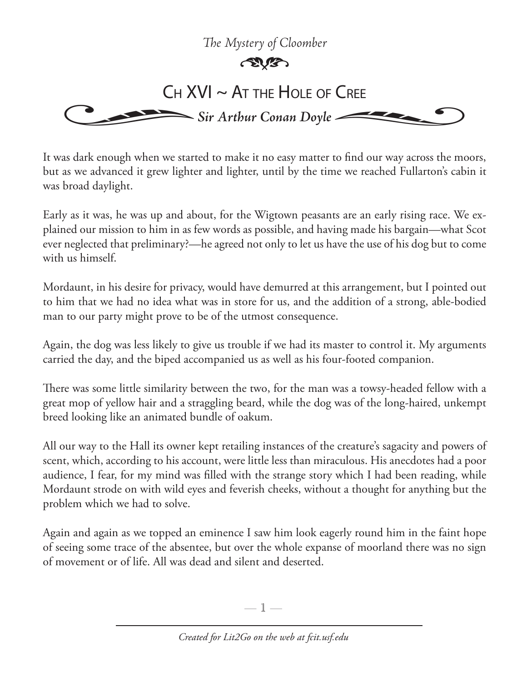## *The Mystery of Cloomber*



It was dark enough when we started to make it no easy matter to find our way across the moors, but as we advanced it grew lighter and lighter, until by the time we reached Fullarton's cabin it was broad daylight.

Early as it was, he was up and about, for the Wigtown peasants are an early rising race. We explained our mission to him in as few words as possible, and having made his bargain—what Scot ever neglected that preliminary?—he agreed not only to let us have the use of his dog but to come with us himself.

Mordaunt, in his desire for privacy, would have demurred at this arrangement, but I pointed out to him that we had no idea what was in store for us, and the addition of a strong, able-bodied man to our party might prove to be of the utmost consequence.

Again, the dog was less likely to give us trouble if we had its master to control it. My arguments carried the day, and the biped accompanied us as well as his four-footed companion.

There was some little similarity between the two, for the man was a towsy-headed fellow with a great mop of yellow hair and a straggling beard, while the dog was of the long-haired, unkempt breed looking like an animated bundle of oakum.

All our way to the Hall its owner kept retailing instances of the creature's sagacity and powers of scent, which, according to his account, were little less than miraculous. His anecdotes had a poor audience, I fear, for my mind was filled with the strange story which I had been reading, while Mordaunt strode on with wild eyes and feverish cheeks, without a thought for anything but the problem which we had to solve.

Again and again as we topped an eminence I saw him look eagerly round him in the faint hope of seeing some trace of the absentee, but over the whole expanse of moorland there was no sign of movement or of life. All was dead and silent and deserted.

—  $\mathbb{1}$  —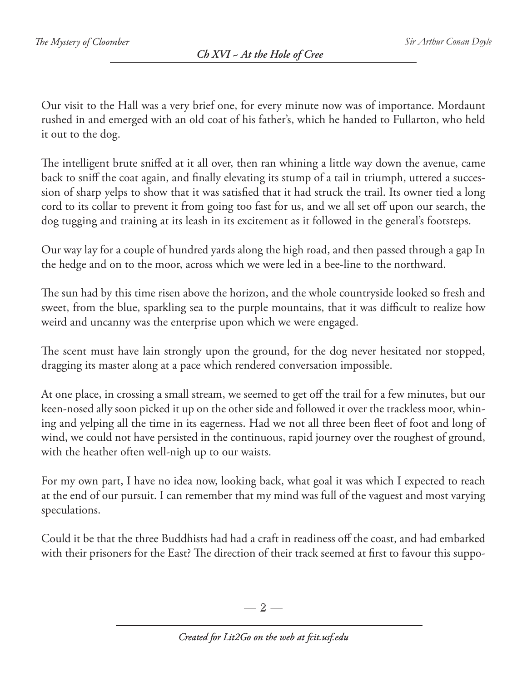Our visit to the Hall was a very brief one, for every minute now was of importance. Mordaunt rushed in and emerged with an old coat of his father's, which he handed to Fullarton, who held it out to the dog.

The intelligent brute sniffed at it all over, then ran whining a little way down the avenue, came back to sniff the coat again, and finally elevating its stump of a tail in triumph, uttered a succession of sharp yelps to show that it was satisfied that it had struck the trail. Its owner tied a long cord to its collar to prevent it from going too fast for us, and we all set off upon our search, the dog tugging and training at its leash in its excitement as it followed in the general's footsteps.

Our way lay for a couple of hundred yards along the high road, and then passed through a gap In the hedge and on to the moor, across which we were led in a bee-line to the northward.

The sun had by this time risen above the horizon, and the whole countryside looked so fresh and sweet, from the blue, sparkling sea to the purple mountains, that it was difficult to realize how weird and uncanny was the enterprise upon which we were engaged.

The scent must have lain strongly upon the ground, for the dog never hesitated nor stopped, dragging its master along at a pace which rendered conversation impossible.

At one place, in crossing a small stream, we seemed to get off the trail for a few minutes, but our keen-nosed ally soon picked it up on the other side and followed it over the trackless moor, whining and yelping all the time in its eagerness. Had we not all three been fleet of foot and long of wind, we could not have persisted in the continuous, rapid journey over the roughest of ground, with the heather often well-nigh up to our waists.

For my own part, I have no idea now, looking back, what goal it was which I expected to reach at the end of our pursuit. I can remember that my mind was full of the vaguest and most varying speculations.

Could it be that the three Buddhists had had a craft in readiness off the coast, and had embarked with their prisoners for the East? The direction of their track seemed at first to favour this suppo-

— 2 —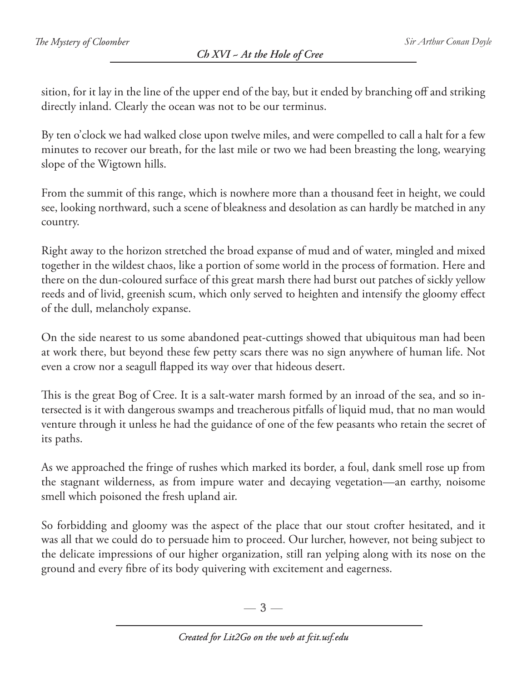sition, for it lay in the line of the upper end of the bay, but it ended by branching off and striking directly inland. Clearly the ocean was not to be our terminus.

By ten o'clock we had walked close upon twelve miles, and were compelled to call a halt for a few minutes to recover our breath, for the last mile or two we had been breasting the long, wearying slope of the Wigtown hills.

From the summit of this range, which is nowhere more than a thousand feet in height, we could see, looking northward, such a scene of bleakness and desolation as can hardly be matched in any country.

Right away to the horizon stretched the broad expanse of mud and of water, mingled and mixed together in the wildest chaos, like a portion of some world in the process of formation. Here and there on the dun-coloured surface of this great marsh there had burst out patches of sickly yellow reeds and of livid, greenish scum, which only served to heighten and intensify the gloomy effect of the dull, melancholy expanse.

On the side nearest to us some abandoned peat-cuttings showed that ubiquitous man had been at work there, but beyond these few petty scars there was no sign anywhere of human life. Not even a crow nor a seagull flapped its way over that hideous desert.

This is the great Bog of Cree. It is a salt-water marsh formed by an inroad of the sea, and so intersected is it with dangerous swamps and treacherous pitfalls of liquid mud, that no man would venture through it unless he had the guidance of one of the few peasants who retain the secret of its paths.

As we approached the fringe of rushes which marked its border, a foul, dank smell rose up from the stagnant wilderness, as from impure water and decaying vegetation—an earthy, noisome smell which poisoned the fresh upland air.

So forbidding and gloomy was the aspect of the place that our stout crofter hesitated, and it was all that we could do to persuade him to proceed. Our lurcher, however, not being subject to the delicate impressions of our higher organization, still ran yelping along with its nose on the ground and every fibre of its body quivering with excitement and eagerness.

 $-3-$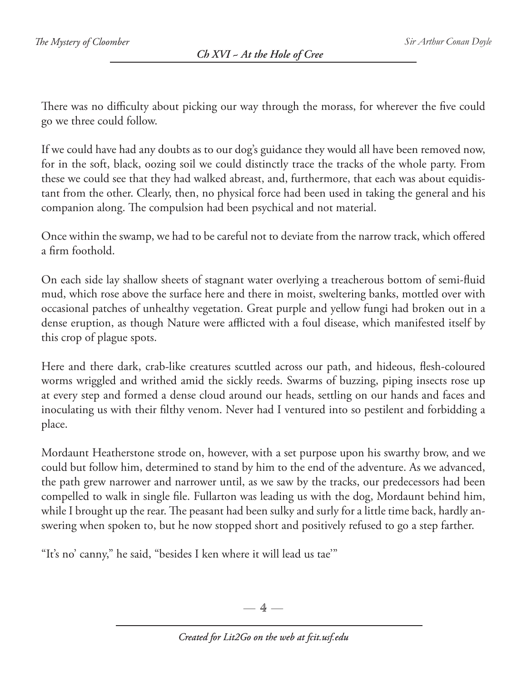There was no difficulty about picking our way through the morass, for wherever the five could go we three could follow.

If we could have had any doubts as to our dog's guidance they would all have been removed now, for in the soft, black, oozing soil we could distinctly trace the tracks of the whole party. From these we could see that they had walked abreast, and, furthermore, that each was about equidistant from the other. Clearly, then, no physical force had been used in taking the general and his companion along. The compulsion had been psychical and not material.

Once within the swamp, we had to be careful not to deviate from the narrow track, which offered a firm foothold.

On each side lay shallow sheets of stagnant water overlying a treacherous bottom of semi-fluid mud, which rose above the surface here and there in moist, sweltering banks, mottled over with occasional patches of unhealthy vegetation. Great purple and yellow fungi had broken out in a dense eruption, as though Nature were afflicted with a foul disease, which manifested itself by this crop of plague spots.

Here and there dark, crab-like creatures scuttled across our path, and hideous, flesh-coloured worms wriggled and writhed amid the sickly reeds. Swarms of buzzing, piping insects rose up at every step and formed a dense cloud around our heads, settling on our hands and faces and inoculating us with their filthy venom. Never had I ventured into so pestilent and forbidding a place.

Mordaunt Heatherstone strode on, however, with a set purpose upon his swarthy brow, and we could but follow him, determined to stand by him to the end of the adventure. As we advanced, the path grew narrower and narrower until, as we saw by the tracks, our predecessors had been compelled to walk in single file. Fullarton was leading us with the dog, Mordaunt behind him, while I brought up the rear. The peasant had been sulky and surly for a little time back, hardly answering when spoken to, but he now stopped short and positively refused to go a step farther.

"It's no' canny," he said, "besides I ken where it will lead us tae'"

 $-4-$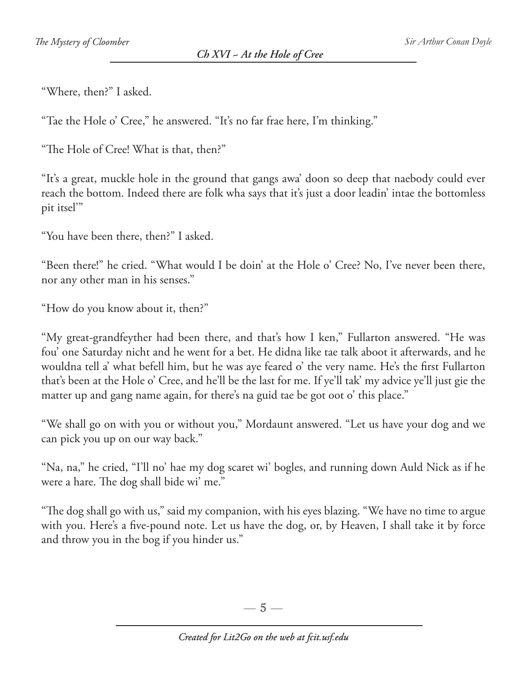"Where, then?" I asked.

"Tae the Hole o' Cree," he answered. "It's no far frae here, I'm thinking."

"The Hole of Cree! What is that, then?"

"It's a great, muckle hole in the ground that gangs awa' doon so deep that naebody could ever reach the bottom. Indeed there are folk wha says that it's just a door leadin' intae the bottomless pit itsel'"

"You have been there, then?" I asked.

"Been there!" he cried. "What would I be doin' at the Hole o' Cree? No, I've never been there, nor any other man in his senses."

"How do you know about it, then?"

"My great-grandfeyther had been there, and that's how I ken," Fullarton answered. "He was fou' one Saturday nicht and he went for a bet. He didna like tae talk aboot it afterwards, and he wouldna tell a' what befell him, but he was aye feared o' the very name. He's the first Fullarton that's been at the Hole o' Cree, and he'll be the last for me. If ye'll tak' my advice ye'll just gie the matter up and gang name again, for there's na guid tae be got oot o' this place."

"We shall go on with you or without you," Mordaunt answered. "Let us have your dog and we can pick you up on our way back."

"Na, na," he cried, "I'll no' hae my dog scaret wi' bogles, and running down Auld Nick as if he were a hare. The dog shall bide wi' me."

"The dog shall go with us," said my companion, with his eyes blazing. "We have no time to argue with you. Here's a five-pound note. Let us have the dog, or, by Heaven, I shall take it by force and throw you in the bog if you hinder us."

 $-5-$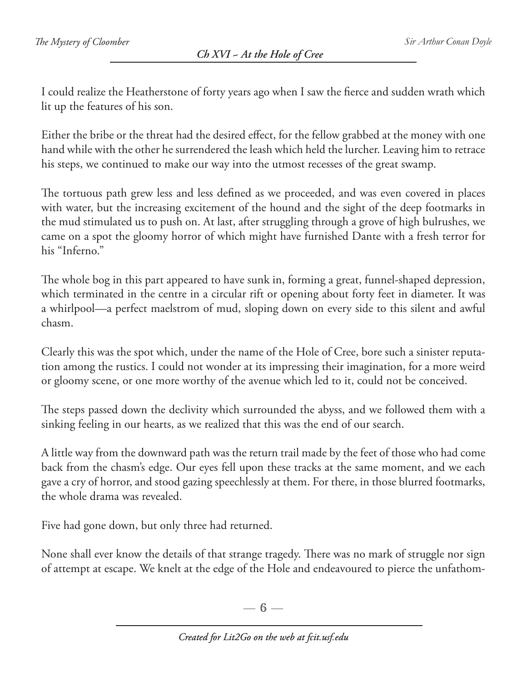I could realize the Heatherstone of forty years ago when I saw the fierce and sudden wrath which lit up the features of his son.

Either the bribe or the threat had the desired effect, for the fellow grabbed at the money with one hand while with the other he surrendered the leash which held the lurcher. Leaving him to retrace his steps, we continued to make our way into the utmost recesses of the great swamp.

The tortuous path grew less and less defined as we proceeded, and was even covered in places with water, but the increasing excitement of the hound and the sight of the deep footmarks in the mud stimulated us to push on. At last, after struggling through a grove of high bulrushes, we came on a spot the gloomy horror of which might have furnished Dante with a fresh terror for his "Inferno."

The whole bog in this part appeared to have sunk in, forming a great, funnel-shaped depression, which terminated in the centre in a circular rift or opening about forty feet in diameter. It was a whirlpool—a perfect maelstrom of mud, sloping down on every side to this silent and awful chasm.

Clearly this was the spot which, under the name of the Hole of Cree, bore such a sinister reputation among the rustics. I could not wonder at its impressing their imagination, for a more weird or gloomy scene, or one more worthy of the avenue which led to it, could not be conceived.

The steps passed down the declivity which surrounded the abyss, and we followed them with a sinking feeling in our hearts, as we realized that this was the end of our search.

A little way from the downward path was the return trail made by the feet of those who had come back from the chasm's edge. Our eyes fell upon these tracks at the same moment, and we each gave a cry of horror, and stood gazing speechlessly at them. For there, in those blurred footmarks, the whole drama was revealed.

Five had gone down, but only three had returned.

None shall ever know the details of that strange tragedy. There was no mark of struggle nor sign of attempt at escape. We knelt at the edge of the Hole and endeavoured to pierce the unfathom-

 $-6-$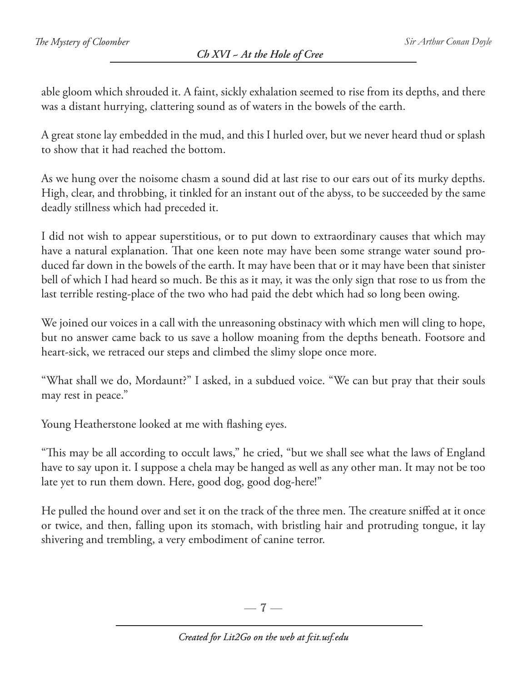able gloom which shrouded it. A faint, sickly exhalation seemed to rise from its depths, and there was a distant hurrying, clattering sound as of waters in the bowels of the earth.

A great stone lay embedded in the mud, and this I hurled over, but we never heard thud or splash to show that it had reached the bottom.

As we hung over the noisome chasm a sound did at last rise to our ears out of its murky depths. High, clear, and throbbing, it tinkled for an instant out of the abyss, to be succeeded by the same deadly stillness which had preceded it.

I did not wish to appear superstitious, or to put down to extraordinary causes that which may have a natural explanation. That one keen note may have been some strange water sound produced far down in the bowels of the earth. It may have been that or it may have been that sinister bell of which I had heard so much. Be this as it may, it was the only sign that rose to us from the last terrible resting-place of the two who had paid the debt which had so long been owing.

We joined our voices in a call with the unreasoning obstinacy with which men will cling to hope, but no answer came back to us save a hollow moaning from the depths beneath. Footsore and heart-sick, we retraced our steps and climbed the slimy slope once more.

"What shall we do, Mordaunt?" I asked, in a subdued voice. "We can but pray that their souls may rest in peace."

Young Heatherstone looked at me with flashing eyes.

"This may be all according to occult laws," he cried, "but we shall see what the laws of England have to say upon it. I suppose a chela may be hanged as well as any other man. It may not be too late yet to run them down. Here, good dog, good dog-here!"

He pulled the hound over and set it on the track of the three men. The creature sniffed at it once or twice, and then, falling upon its stomach, with bristling hair and protruding tongue, it lay shivering and trembling, a very embodiment of canine terror.

 $-7-$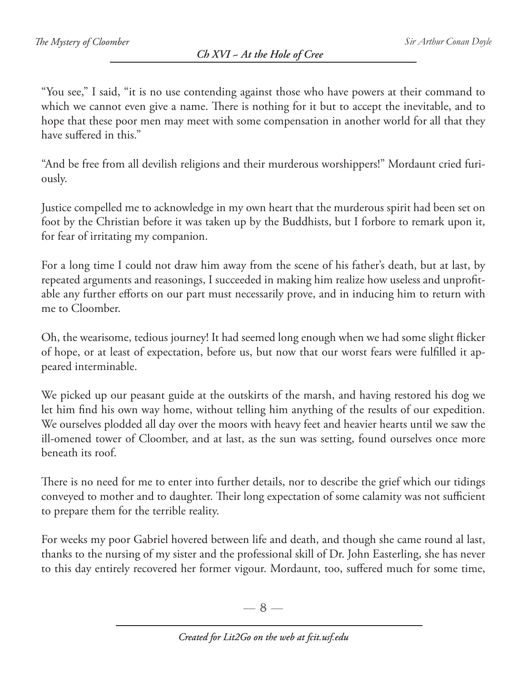"You see," I said, "it is no use contending against those who have powers at their command to which we cannot even give a name. There is nothing for it but to accept the inevitable, and to hope that these poor men may meet with some compensation in another world for all that they have suffered in this."

"And be free from all devilish religions and their murderous worshippers!" Mordaunt cried furiously.

Justice compelled me to acknowledge in my own heart that the murderous spirit had been set on foot by the Christian before it was taken up by the Buddhists, but I forbore to remark upon it, for fear of irritating my companion.

For a long time I could not draw him away from the scene of his father's death, but at last, by repeated arguments and reasonings, I succeeded in making him realize how useless and unprofitable any further efforts on our part must necessarily prove, and in inducing him to return with me to Cloomber.

Oh, the wearisome, tedious journey! It had seemed long enough when we had some slight flicker of hope, or at least of expectation, before us, but now that our worst fears were fulfilled it appeared interminable.

We picked up our peasant guide at the outskirts of the marsh, and having restored his dog we let him find his own way home, without telling him anything of the results of our expedition. We ourselves plodded all day over the moors with heavy feet and heavier hearts until we saw the ill-omened tower of Cloomber, and at last, as the sun was setting, found ourselves once more beneath its roof.

There is no need for me to enter into further details, nor to describe the grief which our tidings conveyed to mother and to daughter. Their long expectation of some calamity was not sufficient to prepare them for the terrible reality.

For weeks my poor Gabriel hovered between life and death, and though she came round al last, thanks to the nursing of my sister and the professional skill of Dr. John Easterling, she has never to this day entirely recovered her former vigour. Mordaunt, too, suffered much for some time,

 $-8-$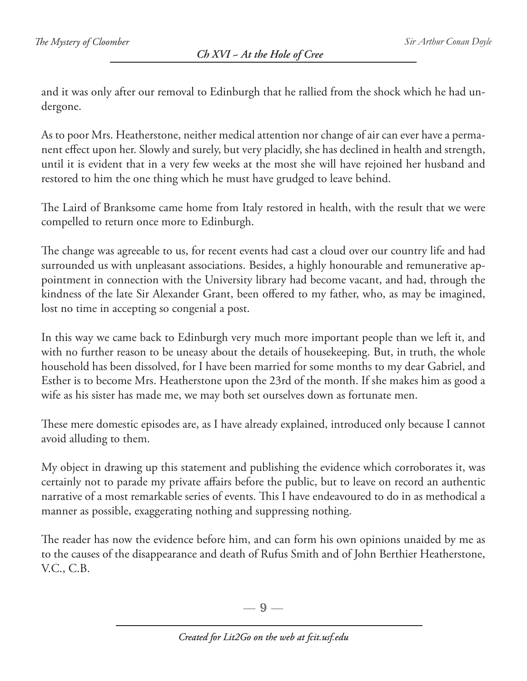and it was only after our removal to Edinburgh that he rallied from the shock which he had undergone.

As to poor Mrs. Heatherstone, neither medical attention nor change of air can ever have a permanent effect upon her. Slowly and surely, but very placidly, she has declined in health and strength, until it is evident that in a very few weeks at the most she will have rejoined her husband and restored to him the one thing which he must have grudged to leave behind.

The Laird of Branksome came home from Italy restored in health, with the result that we were compelled to return once more to Edinburgh.

The change was agreeable to us, for recent events had cast a cloud over our country life and had surrounded us with unpleasant associations. Besides, a highly honourable and remunerative appointment in connection with the University library had become vacant, and had, through the kindness of the late Sir Alexander Grant, been offered to my father, who, as may be imagined, lost no time in accepting so congenial a post.

In this way we came back to Edinburgh very much more important people than we left it, and with no further reason to be uneasy about the details of housekeeping. But, in truth, the whole household has been dissolved, for I have been married for some months to my dear Gabriel, and Esther is to become Mrs. Heatherstone upon the 23rd of the month. If she makes him as good a wife as his sister has made me, we may both set ourselves down as fortunate men.

These mere domestic episodes are, as I have already explained, introduced only because I cannot avoid alluding to them.

My object in drawing up this statement and publishing the evidence which corroborates it, was certainly not to parade my private affairs before the public, but to leave on record an authentic narrative of a most remarkable series of events. This I have endeavoured to do in as methodical a manner as possible, exaggerating nothing and suppressing nothing.

The reader has now the evidence before him, and can form his own opinions unaided by me as to the causes of the disappearance and death of Rufus Smith and of John Berthier Heatherstone, V.C., C.B.

 $-9-$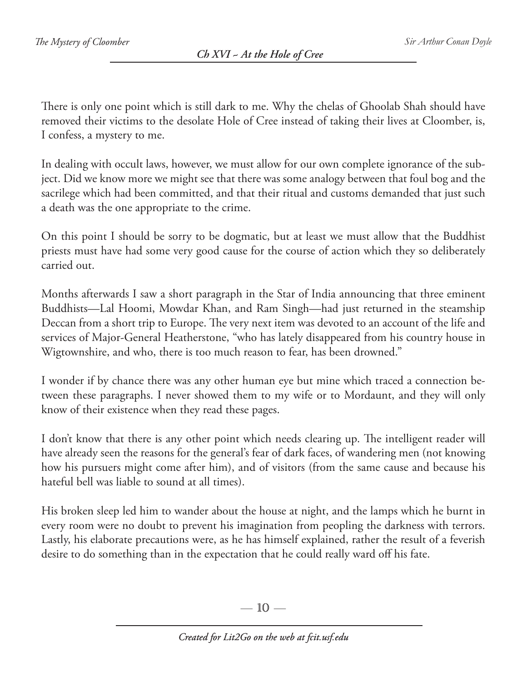There is only one point which is still dark to me. Why the chelas of Ghoolab Shah should have removed their victims to the desolate Hole of Cree instead of taking their lives at Cloomber, is, I confess, a mystery to me.

In dealing with occult laws, however, we must allow for our own complete ignorance of the subject. Did we know more we might see that there was some analogy between that foul bog and the sacrilege which had been committed, and that their ritual and customs demanded that just such a death was the one appropriate to the crime.

On this point I should be sorry to be dogmatic, but at least we must allow that the Buddhist priests must have had some very good cause for the course of action which they so deliberately carried out.

Months afterwards I saw a short paragraph in the Star of India announcing that three eminent Buddhists—Lal Hoomi, Mowdar Khan, and Ram Singh—had just returned in the steamship Deccan from a short trip to Europe. The very next item was devoted to an account of the life and services of Major-General Heatherstone, "who has lately disappeared from his country house in Wigtownshire, and who, there is too much reason to fear, has been drowned."

I wonder if by chance there was any other human eye but mine which traced a connection between these paragraphs. I never showed them to my wife or to Mordaunt, and they will only know of their existence when they read these pages.

I don't know that there is any other point which needs clearing up. The intelligent reader will have already seen the reasons for the general's fear of dark faces, of wandering men (not knowing how his pursuers might come after him), and of visitors (from the same cause and because his hateful bell was liable to sound at all times).

His broken sleep led him to wander about the house at night, and the lamps which he burnt in every room were no doubt to prevent his imagination from peopling the darkness with terrors. Lastly, his elaborate precautions were, as he has himself explained, rather the result of a feverish desire to do something than in the expectation that he could really ward off his fate.

— 10 —